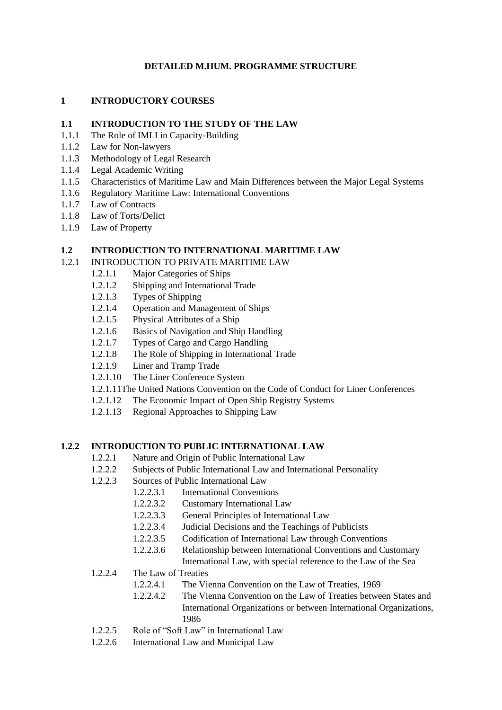## **DETAILED M.HUM. PROGRAMME STRUCTURE**

#### **1 INTRODUCTORY COURSES**

#### **1.1 INTRODUCTION TO THE STUDY OF THE LAW**

- 1.1.1 The Role of IMLI in Capacity-Building
- 1.1.2 Law for Non-lawyers
- 1.1.3 Methodology of Legal Research
- 1.1.4 Legal Academic Writing
- 1.1.5 Characteristics of Maritime Law and Main Differences between the Major Legal Systems
- 1.1.6 Regulatory Maritime Law: International Conventions
- 1.1.7 Law of Contracts
- 1.1.8 Law of Torts/Delict
- 1.1.9 Law of Property

# **1.2 INTRODUCTION TO INTERNATIONAL MARITIME LAW**

#### 1.2.1 INTRODUCTION TO PRIVATE MARITIME LAW

- 1.2.1.1 Major Categories of Ships
- 1.2.1.2 Shipping and International Trade
- 1.2.1.3 Types of Shipping
- 1.2.1.4 Operation and Management of Ships
- 1.2.1.5 Physical Attributes of a Ship
- 1.2.1.6 Basics of Navigation and Ship Handling
- 1.2.1.7 Types of Cargo and Cargo Handling
- 1.2.1.8 The Role of Shipping in International Trade
- 1.2.1.9 Liner and Tramp Trade
- 1.2.1.10 The Liner Conference System
- 1.2.1.11The United Nations Convention on the Code of Conduct for Liner Conferences
- 1.2.1.12 The Economic Impact of Open Ship Registry Systems
- 1.2.1.13 Regional Approaches to Shipping Law

#### **1.2.2 INTRODUCTION TO PUBLIC INTERNATIONAL LAW**

- 1.2.2.1 Nature and Origin of Public International Law
- 1.2.2.2 Subjects of Public International Law and International Personality
- 1.2.2.3 Sources of Public International Law
	- 1.2.2.3.1 International Conventions
	- 1.2.2.3.2 Customary International Law
	- 1.2.2.3.3 General Principles of International Law
	- 1.2.2.3.4 Judicial Decisions and the Teachings of Publicists
	- 1.2.2.3.5 Codification of International Law through Conventions
	- 1.2.2.3.6 Relationship between International Conventions and Customary
	- International Law, with special reference to the Law of the Sea
- 1.2.2.4 The Law of Treaties
	- 1.2.2.4.1 The Vienna Convention on the Law of Treaties, 1969
	- 1.2.2.4.2 The Vienna Convention on the Law of Treaties between States and International Organizations or between International Organizations, 1986
- 1.2.2.5 Role of "Soft Law" in International Law
- 1.2.2.6 International Law and Municipal Law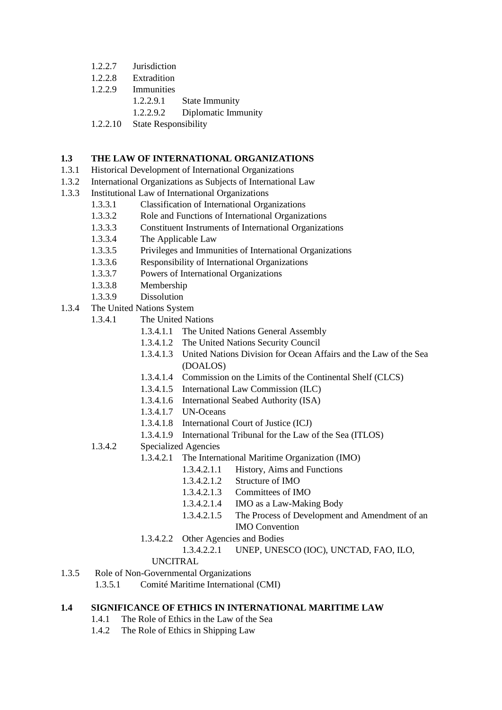- 1.2.2.7 Jurisdiction
- 1.2.2.8 Extradition
- 1.2.2.9 Immunities
	- 1.2.2.9.1 State Immunity
	- 1.2.2.9.2 Diplomatic Immunity
- 1.2.2.10 State Responsibility

#### **1.3 THE LAW OF INTERNATIONAL ORGANIZATIONS**

- 1.3.1 Historical Development of International Organizations
- 1.3.2 International Organizations as Subjects of International Law
- 1.3.3 Institutional Law of International Organizations
	- 1.3.3.1 Classification of International Organizations
	- 1.3.3.2 Role and Functions of International Organizations
	- 1.3.3.3 Constituent Instruments of International Organizations
	- 1.3.3.4 The Applicable Law
	- 1.3.3.5 Privileges and Immunities of International Organizations
	- 1.3.3.6 Responsibility of International Organizations
	- 1.3.3.7 Powers of International Organizations
	- 1.3.3.8 Membership
	- 1.3.3.9 Dissolution
- 1.3.4 The United Nations System
	- 1.3.4.1 The United Nations
		- 1.3.4.1.1 The United Nations General Assembly
		- 1.3.4.1.2 The United Nations Security Council
		- 1.3.4.1.3 United Nations Division for Ocean Affairs and the Law of the Sea (DOALOS)
		- 1.3.4.1.4 Commission on the Limits of the Continental Shelf (CLCS)
		- 1.3.4.1.5 International Law Commission (ILC)
		- 1.3.4.1.6 International Seabed Authority (ISA)
		- 1.3.4.1.7 UN-Oceans
		- 1.3.4.1.8 International Court of Justice (ICJ)
		- 1.3.4.1.9 International Tribunal for the Law of the Sea (ITLOS)
	- 1.3.4.2 Specialized Agencies
		- 1.3.4.2.1 The International Maritime Organization (IMO)
			- 1.3.4.2.1.1 History, Aims and Functions
				- 1.3.4.2.1.2 Structure of IMO
				- 1.3.4.2.1.3 Committees of IMO
				- 1.3.4.2.1.4 IMO as a Law-Making Body
				- 1.3.4.2.1.5 The Process of Development and Amendment of an IMO Convention
		- 1.3.4.2.2 Other Agencies and Bodies
			- 1.3.4.2.2.1 UNEP, UNESCO (IOC), UNCTAD, FAO, ILO,

## UNCITRAL

- 1.3.5 Role of Non-Governmental Organizations
	- 1.3.5.1 Comité Maritime International (CMI)

## **1.4 SIGNIFICANCE OF ETHICS IN INTERNATIONAL MARITIME LAW**

- 1.4.1 The Role of Ethics in the Law of the Sea
- 1.4.2 The Role of Ethics in Shipping Law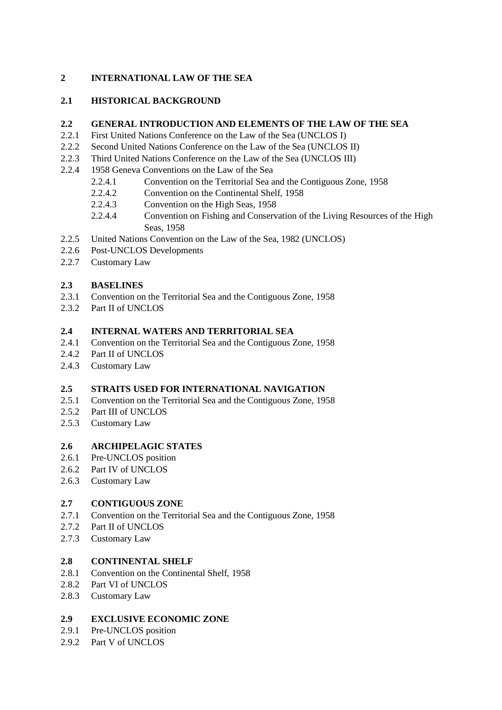# **2 INTERNATIONAL LAW OF THE SEA**

# **2.1 HISTORICAL BACKGROUND**

#### **2.2 GENERAL INTRODUCTION AND ELEMENTS OF THE LAW OF THE SEA**

- 2.2.1 First United Nations Conference on the Law of the Sea (UNCLOS I)
- 2.2.2 Second United Nations Conference on the Law of the Sea (UNCLOS II)
- 2.2.3 Third United Nations Conference on the Law of the Sea (UNCLOS III)
- 2.2.4 1958 Geneva Conventions on the Law of the Sea
	- 2.2.4.1 Convention on the Territorial Sea and the Contiguous Zone, 1958
	- 2.2.4.2 Convention on the Continental Shelf, 1958
	- 2.2.4.3 Convention on the High Seas, 1958
	- 2.2.4.4 Convention on Fishing and Conservation of the Living Resources of the High Seas, 1958
- 2.2.5 United Nations Convention on the Law of the Sea, 1982 (UNCLOS)
- 2.2.6 Post-UNCLOS Developments
- 2.2.7 Customary Law

## **2.3 BASELINES**

- 2.3.1 Convention on the Territorial Sea and the Contiguous Zone, 1958
- 2.3.2 Part II of UNCLOS

#### **2.4 INTERNAL WATERS AND TERRITORIAL SEA**

- 2.4.1 Convention on the Territorial Sea and the Contiguous Zone, 1958
- 2.4.2 Part II of UNCLOS
- 2.4.3 Customary Law

#### **2.5 STRAITS USED FOR INTERNATIONAL NAVIGATION**

- 2.5.1 Convention on the Territorial Sea and the Contiguous Zone, 1958
- 2.5.2 Part III of UNCLOS
- 2.5.3 Customary Law

## **2.6 ARCHIPELAGIC STATES**

- 2.6.1 Pre-UNCLOS position
- 2.6.2 Part IV of UNCLOS
- 2.6.3 Customary Law

## **2.7 CONTIGUOUS ZONE**

- 2.7.1 Convention on the Territorial Sea and the Contiguous Zone, 1958
- 2.7.2 Part II of UNCLOS
- 2.7.3 Customary Law

#### **2.8 CONTINENTAL SHELF**

- 2.8.1 Convention on the Continental Shelf, 1958
- 2.8.2 Part VI of UNCLOS
- 2.8.3 Customary Law

# **2.9 EXCLUSIVE ECONOMIC ZONE**

- 2.9.1 Pre-UNCLOS position
- 2.9.2 Part V of UNCLOS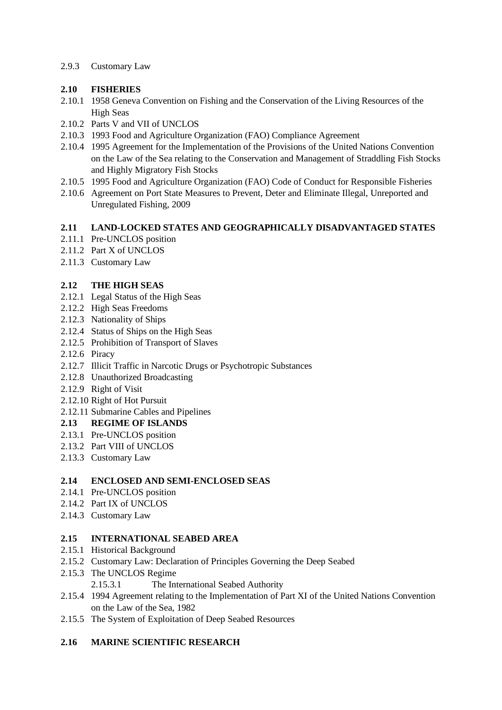#### 2.9.3 Customary Law

## **2.10 FISHERIES**

- 2.10.1 1958 Geneva Convention on Fishing and the Conservation of the Living Resources of the High Seas
- 2.10.2 Parts V and VII of UNCLOS
- 2.10.3 1993 Food and Agriculture Organization (FAO) Compliance Agreement
- 2.10.4 1995 Agreement for the Implementation of the Provisions of the United Nations Convention on the Law of the Sea relating to the Conservation and Management of Straddling Fish Stocks and Highly Migratory Fish Stocks
- 2.10.5 1995 Food and Agriculture Organization (FAO) Code of Conduct for Responsible Fisheries
- 2.10.6 Agreement on Port State Measures to Prevent, Deter and Eliminate Illegal, Unreported and Unregulated Fishing, 2009

## **2.11 LAND-LOCKED STATES AND GEOGRAPHICALLY DISADVANTAGED STATES**

- 2.11.1 Pre-UNCLOS position
- 2.11.2 Part X of UNCLOS
- 2.11.3 Customary Law

# **2.12 THE HIGH SEAS**

- 2.12.1 Legal Status of the High Seas
- 2.12.2 High Seas Freedoms
- 2.12.3 Nationality of Ships
- 2.12.4 Status of Ships on the High Seas
- 2.12.5 Prohibition of Transport of Slaves
- 2.12.6 Piracy
- 2.12.7 Illicit Traffic in Narcotic Drugs or Psychotropic Substances
- 2.12.8 Unauthorized Broadcasting
- 2.12.9 Right of Visit
- 2.12.10 Right of Hot Pursuit
- 2.12.11 Submarine Cables and Pipelines

## **2.13 REGIME OF ISLANDS**

- 2.13.1 Pre-UNCLOS position
- 2.13.2 Part VIII of UNCLOS
- 2.13.3 Customary Law

## **2.14 ENCLOSED AND SEMI-ENCLOSED SEAS**

- 2.14.1 Pre-UNCLOS position
- 2.14.2 Part IX of UNCLOS
- 2.14.3 Customary Law

#### **2.15 INTERNATIONAL SEABED AREA**

- 2.15.1 Historical Background
- 2.15.2 Customary Law: Declaration of Principles Governing the Deep Seabed
- 2.15.3 The UNCLOS Regime 2.15.3.1 The International Seabed Authority
- 2.15.4 1994 Agreement relating to the Implementation of Part XI of the United Nations Convention on the Law of the Sea, 1982
- 2.15.5 The System of Exploitation of Deep Seabed Resources

## **2.16 MARINE SCIENTIFIC RESEARCH**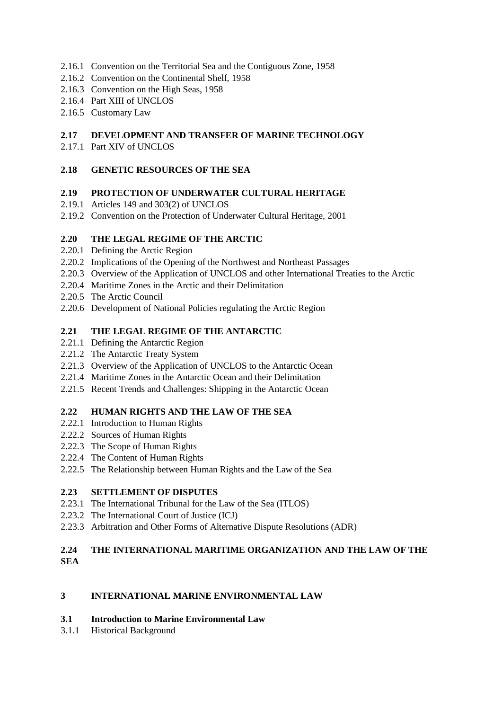- 2.16.1 Convention on the Territorial Sea and the Contiguous Zone, 1958
- 2.16.2 Convention on the Continental Shelf, 1958
- 2.16.3 Convention on the High Seas, 1958
- 2.16.4 Part XIII of UNCLOS
- 2.16.5 Customary Law

## **2.17 DEVELOPMENT AND TRANSFER OF MARINE TECHNOLOGY**

2.17.1 Part XIV of UNCLOS

#### **2.18 GENETIC RESOURCES OF THE SEA**

#### **2.19 PROTECTION OF UNDERWATER CULTURAL HERITAGE**

- 2.19.1 Articles 149 and 303(2) of UNCLOS
- 2.19.2 Convention on the Protection of Underwater Cultural Heritage, 2001

## **2.20 THE LEGAL REGIME OF THE ARCTIC**

- 2.20.1 Defining the Arctic Region
- 2.20.2 Implications of the Opening of the Northwest and Northeast Passages
- 2.20.3 Overview of the Application of UNCLOS and other International Treaties to the Arctic
- 2.20.4 Maritime Zones in the Arctic and their Delimitation
- 2.20.5 The Arctic Council
- 2.20.6 Development of National Policies regulating the Arctic Region

## **2.21 THE LEGAL REGIME OF THE ANTARCTIC**

- 2.21.1 Defining the Antarctic Region
- 2.21.2 The Antarctic Treaty System
- 2.21.3 Overview of the Application of UNCLOS to the Antarctic Ocean
- 2.21.4 Maritime Zones in the Antarctic Ocean and their Delimitation
- 2.21.5 Recent Trends and Challenges: Shipping in the Antarctic Ocean

## **2.22 HUMAN RIGHTS AND THE LAW OF THE SEA**

- 2.22.1 Introduction to Human Rights
- 2.22.2 Sources of Human Rights
- 2.22.3 The Scope of Human Rights
- 2.22.4 The Content of Human Rights
- 2.22.5 The Relationship between Human Rights and the Law of the Sea

## **2.23 SETTLEMENT OF DISPUTES**

- 2.23.1 The International Tribunal for the Law of the Sea (ITLOS)
- 2.23.2 The International Court of Justice (ICJ)
- 2.23.3 Arbitration and Other Forms of Alternative Dispute Resolutions (ADR)

# **2.24 THE INTERNATIONAL MARITIME ORGANIZATION AND THE LAW OF THE SEA**

## **3 INTERNATIONAL MARINE ENVIRONMENTAL LAW**

#### **3.1 Introduction to Marine Environmental Law**

3.1.1 Historical Background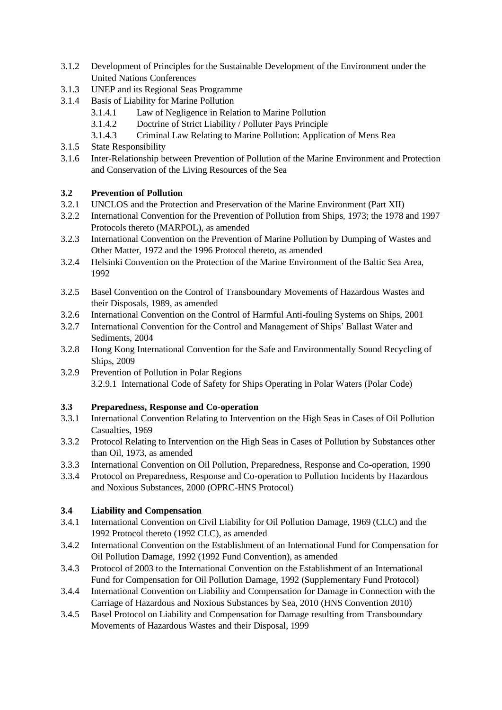- 3.1.2 Development of Principles for the Sustainable Development of the Environment under the United Nations Conferences
- 3.1.3 UNEP and its Regional Seas Programme
- 3.1.4 Basis of Liability for Marine Pollution
	- 3.1.4.1 Law of Negligence in Relation to Marine Pollution
	- 3.1.4.2 Doctrine of Strict Liability / Polluter Pays Principle
	- 3.1.4.3 Criminal Law Relating to Marine Pollution: Application of Mens Rea
- 3.1.5 State Responsibility
- 3.1.6 Inter-Relationship between Prevention of Pollution of the Marine Environment and Protection and Conservation of the Living Resources of the Sea

## **3.2 Prevention of Pollution**

- 3.2.1 UNCLOS and the Protection and Preservation of the Marine Environment (Part XII)
- 3.2.2 International Convention for the Prevention of Pollution from Ships, 1973; the 1978 and 1997 Protocols thereto (MARPOL), as amended
- 3.2.3 International Convention on the Prevention of Marine Pollution by Dumping of Wastes and Other Matter, 1972 and the 1996 Protocol thereto, as amended
- 3.2.4 Helsinki Convention on the Protection of the Marine Environment of the Baltic Sea Area, 1992
- 3.2.5 Basel Convention on the Control of Transboundary Movements of Hazardous Wastes and their Disposals, 1989, as amended
- 3.2.6 International Convention on the Control of Harmful Anti-fouling Systems on Ships, 2001
- 3.2.7 International Convention for the Control and Management of Ships' Ballast Water and Sediments, 2004
- 3.2.8 Hong Kong International Convention for the Safe and Environmentally Sound Recycling of Ships, 2009
- 3.2.9 Prevention of Pollution in Polar Regions 3.2.9.1 International Code of Safety for Ships Operating in Polar Waters (Polar Code)

## **3.3 Preparedness, Response and Co-operation**

- 3.3.1 International Convention Relating to Intervention on the High Seas in Cases of Oil Pollution Casualties, 1969
- 3.3.2 Protocol Relating to Intervention on the High Seas in Cases of Pollution by Substances other than Oil, 1973, as amended
- 3.3.3 International Convention on Oil Pollution, Preparedness, Response and Co-operation, 1990
- 3.3.4 Protocol on Preparedness, Response and Co-operation to Pollution Incidents by Hazardous and Noxious Substances, 2000 (OPRC-HNS Protocol)

## **3.4 Liability and Compensation**

- 3.4.1 International Convention on Civil Liability for Oil Pollution Damage, 1969 (CLC) and the 1992 Protocol thereto (1992 CLC), as amended
- 3.4.2 International Convention on the Establishment of an International Fund for Compensation for Oil Pollution Damage, 1992 (1992 Fund Convention), as amended
- 3.4.3 Protocol of 2003 to the International Convention on the Establishment of an International Fund for Compensation for Oil Pollution Damage, 1992 (Supplementary Fund Protocol)
- 3.4.4 International Convention on Liability and Compensation for Damage in Connection with the Carriage of Hazardous and Noxious Substances by Sea, 2010 (HNS Convention 2010)
- 3.4.5 Basel Protocol on Liability and Compensation for Damage resulting from Transboundary Movements of Hazardous Wastes and their Disposal, 1999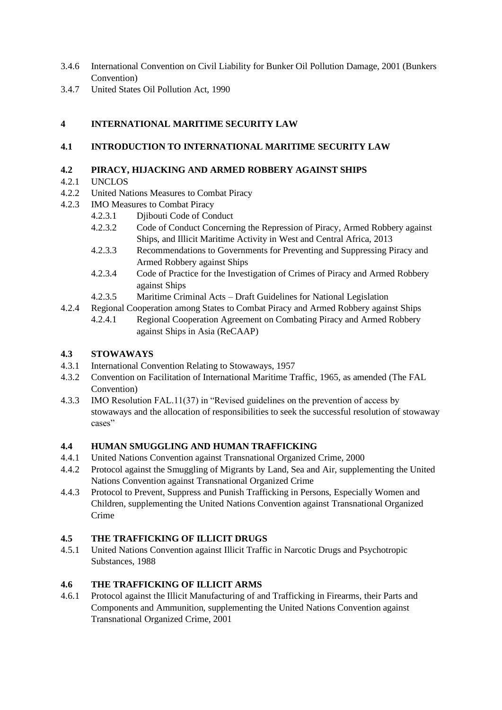- 3.4.6 International Convention on Civil Liability for Bunker Oil Pollution Damage, 2001 (Bunkers Convention)
- 3.4.7 United States Oil Pollution Act, 1990

# **4 INTERNATIONAL MARITIME SECURITY LAW**

## **4.1 INTRODUCTION TO INTERNATIONAL MARITIME SECURITY LAW**

#### **4.2 PIRACY, HIJACKING AND ARMED ROBBERY AGAINST SHIPS**

- 4.2.1 UNCLOS
- 4.2.2 United Nations Measures to Combat Piracy
- 4.2.3 IMO Measures to Combat Piracy
	- 4.2.3.1 Djibouti Code of Conduct
	- 4.2.3.2 Code of Conduct Concerning the Repression of Piracy, Armed Robbery against Ships, and Illicit Maritime Activity in West and Central Africa, 2013
	- 4.2.3.3 Recommendations to Governments for Preventing and Suppressing Piracy and Armed Robbery against Ships
	- 4.2.3.4 Code of Practice for the Investigation of Crimes of Piracy and Armed Robbery against Ships
	- 4.2.3.5 Maritime Criminal Acts Draft Guidelines for National Legislation
- 4.2.4 Regional Cooperation among States to Combat Piracy and Armed Robbery against Ships 4.2.4.1 Regional Cooperation Agreement on Combating Piracy and Armed Robbery against Ships in Asia (ReCAAP)

#### **4.3 STOWAWAYS**

- 4.3.1 International Convention Relating to Stowaways, 1957
- 4.3.2 Convention on Facilitation of International Maritime Traffic, 1965, as amended (The FAL Convention)
- 4.3.3 IMO Resolution FAL.11(37) in "Revised guidelines on the prevention of access by stowaways and the allocation of responsibilities to seek the successful resolution of stowaway cases"

## **4.4 HUMAN SMUGGLING AND HUMAN TRAFFICKING**

- 4.4.1 United Nations Convention against Transnational Organized Crime, 2000
- 4.4.2 Protocol against the Smuggling of Migrants by Land, Sea and Air, supplementing the United Nations Convention against Transnational Organized Crime
- 4.4.3 Protocol to Prevent, Suppress and Punish Trafficking in Persons, Especially Women and Children, supplementing the United Nations Convention against Transnational Organized Crime

## **4.5 THE TRAFFICKING OF ILLICIT DRUGS**

4.5.1 United Nations Convention against Illicit Traffic in Narcotic Drugs and Psychotropic Substances, 1988

## **4.6 THE TRAFFICKING OF ILLICIT ARMS**

4.6.1 Protocol against the Illicit Manufacturing of and Trafficking in Firearms, their Parts and Components and Ammunition, supplementing the United Nations Convention against Transnational Organized Crime, 2001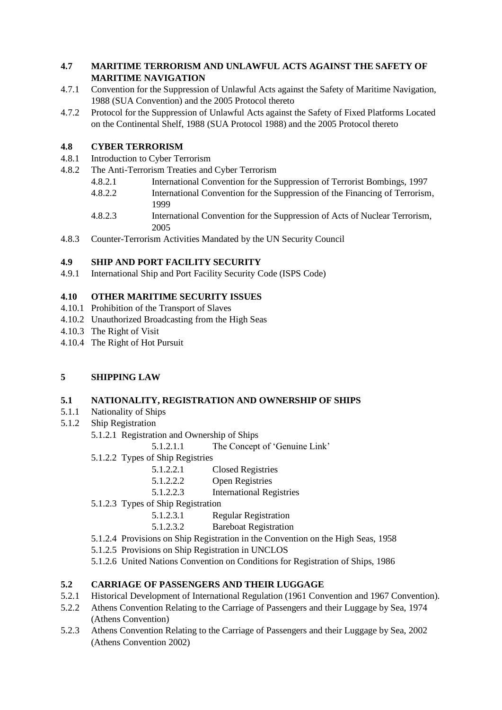# **4.7 MARITIME TERRORISM AND UNLAWFUL ACTS AGAINST THE SAFETY OF MARITIME NAVIGATION**

- 4.7.1 Convention for the Suppression of Unlawful Acts against the Safety of Maritime Navigation, 1988 (SUA Convention) and the 2005 Protocol thereto
- 4.7.2 Protocol for the Suppression of Unlawful Acts against the Safety of Fixed Platforms Located on the Continental Shelf, 1988 (SUA Protocol 1988) and the 2005 Protocol thereto

# **4.8 CYBER TERRORISM**

- 4.8.1 Introduction to Cyber Terrorism
- 4.8.2 The Anti-Terrorism Treaties and Cyber Terrorism
	- 4.8.2.1 International Convention for the Suppression of Terrorist Bombings, 1997
	- 4.8.2.2 International Convention for the Suppression of the Financing of Terrorism, 1999
	- 4.8.2.3 International Convention for the Suppression of Acts of Nuclear Terrorism, 2005
- 4.8.3 Counter-Terrorism Activities Mandated by the UN Security Council

# **4.9 SHIP AND PORT FACILITY SECURITY**

4.9.1 International Ship and Port Facility Security Code (ISPS Code)

# **4.10 OTHER MARITIME SECURITY ISSUES**

- 4.10.1 Prohibition of the Transport of Slaves
- 4.10.2 Unauthorized Broadcasting from the High Seas
- 4.10.3 The Right of Visit
- 4.10.4 The Right of Hot Pursuit

# **5 SHIPPING LAW**

## **5.1 NATIONALITY, REGISTRATION AND OWNERSHIP OF SHIPS**

- 5.1.1 Nationality of Ships
- 5.1.2 Ship Registration
	- 5.1.2.1 Registration and Ownership of Ships

5.1.2.1.1 The Concept of 'Genuine Link'

- 5.1.2.2 Types of Ship Registries
	- 5.1.2.2.1 Closed Registries
	- 5.1.2.2.2 Open Registries
	- 5.1.2.2.3 International Registries
- 5.1.2.3 Types of Ship Registration
	- 5.1.2.3.1 Regular Registration
	- 5.1.2.3.2 Bareboat Registration
- 5.1.2.4 Provisions on Ship Registration in the Convention on the High Seas, 1958
- 5.1.2.5 Provisions on Ship Registration in UNCLOS
- 5.1.2.6 United Nations Convention on Conditions for Registration of Ships, 1986

# **5.2 CARRIAGE OF PASSENGERS AND THEIR LUGGAGE**

- 5.2.1 Historical Development of International Regulation (1961 Convention and 1967 Convention).
- 5.2.2 Athens Convention Relating to the Carriage of Passengers and their Luggage by Sea, 1974 (Athens Convention)
- 5.2.3 Athens Convention Relating to the Carriage of Passengers and their Luggage by Sea, 2002 (Athens Convention 2002)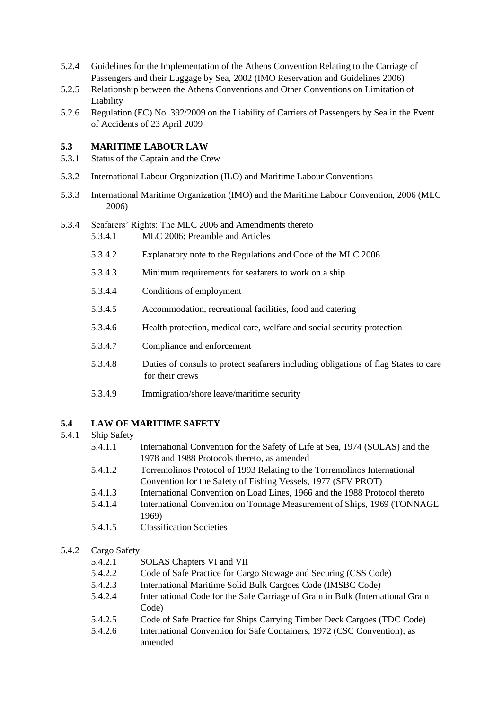- 5.2.4 Guidelines for the Implementation of the Athens Convention Relating to the Carriage of Passengers and their Luggage by Sea, 2002 (IMO Reservation and Guidelines 2006)
- 5.2.5 Relationship between the Athens Conventions and Other Conventions on Limitation of Liability
- 5.2.6 Regulation (EC) No. 392/2009 on the Liability of Carriers of Passengers by Sea in the Event of Accidents of 23 April 2009

# **5.3 MARITIME LABOUR LAW**

- 5.3.1 Status of the Captain and the Crew
- 5.3.2 International Labour Organization (ILO) and Maritime Labour Conventions
- 5.3.3 International Maritime Organization (IMO) and the Maritime Labour Convention, 2006 (MLC 2006)

# 5.3.4 Seafarers' Rights: The MLC 2006 and Amendments thereto

- 5.3.4.1 MLC 2006: Preamble and Articles
- 5.3.4.2 Explanatory note to the Regulations and Code of the MLC 2006
- 5.3.4.3 Minimum requirements for seafarers to work on a ship
- 5.3.4.4 Conditions of employment
- 5.3.4.5 Accommodation, recreational facilities, food and catering
- 5.3.4.6 Health protection, medical care, welfare and social security protection
- 5.3.4.7 Compliance and enforcement
- 5.3.4.8 Duties of consuls to protect seafarers including obligations of flag States to care for their crews
- 5.3.4.9 Immigration/shore leave/maritime security

## **5.4 LAW OF MARITIME SAFETY**

#### 5.4.1 Ship Safety

- 5.4.1.1 International Convention for the Safety of Life at Sea, 1974 (SOLAS) and the 1978 and 1988 Protocols thereto, as amended
- 5.4.1.2 Torremolinos Protocol of 1993 Relating to the Torremolinos International Convention for the Safety of Fishing Vessels, 1977 (SFV PROT)
- 5.4.1.3 International Convention on Load Lines, 1966 and the 1988 Protocol thereto
- 5.4.1.4 International Convention on Tonnage Measurement of Ships, 1969 (TONNAGE 1969)
- 5.4.1.5 Classification Societies

## 5.4.2 Cargo Safety

- 5.4.2.1 SOLAS Chapters VI and VII
- 5.4.2.2 Code of Safe Practice for Cargo Stowage and Securing (CSS Code)
- 5.4.2.3 International Maritime Solid Bulk Cargoes Code (IMSBC Code)
- 5.4.2.4 International Code for the Safe Carriage of Grain in Bulk (International Grain Code)
- 5.4.2.5 Code of Safe Practice for Ships Carrying Timber Deck Cargoes (TDC Code)
- 5.4.2.6 International Convention for Safe Containers, 1972 (CSC Convention), as amended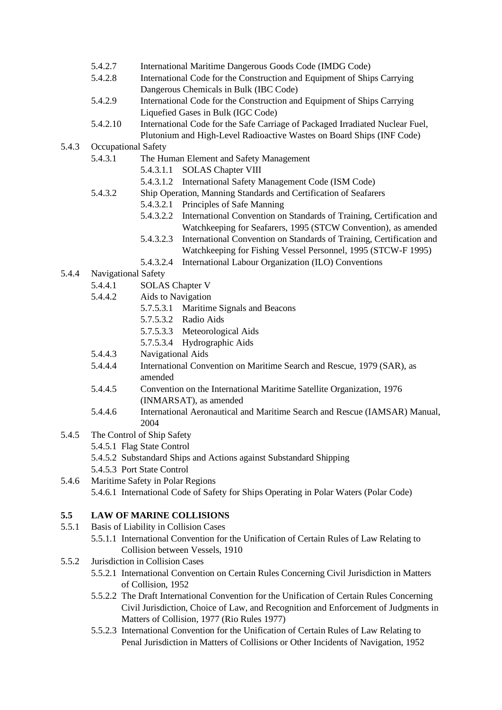- 5.4.2.7 International Maritime Dangerous Goods Code (IMDG Code)
- 5.4.2.8 International Code for the Construction and Equipment of Ships Carrying Dangerous Chemicals in Bulk (IBC Code)
- 5.4.2.9 International Code for the Construction and Equipment of Ships Carrying Liquefied Gases in Bulk (IGC Code)
- 5.4.2.10 International Code for the Safe Carriage of Packaged Irradiated Nuclear Fuel, Plutonium and High-Level Radioactive Wastes on Board Ships (INF Code)
- 5.4.3 Occupational Safety
	- 5.4.3.1 The Human Element and Safety Management
		- 5.4.3.1.1 SOLAS Chapter VIII
		- 5.4.3.1.2 International Safety Management Code (ISM Code)
	- 5.4.3.2 Ship Operation, Manning Standards and Certification of Seafarers
		- 5.4.3.2.1 Principles of Safe Manning
		- 5.4.3.2.2 International Convention on Standards of Training, Certification and Watchkeeping for Seafarers, 1995 (STCW Convention), as amended
		- 5.4.3.2.3 International Convention on Standards of Training, Certification and Watchkeeping for Fishing Vessel Personnel, 1995 (STCW-F 1995)
		- 5.4.3.2.4 International Labour Organization (ILO) Conventions
- 5.4.4 Navigational Safety
	- 5.4.4.1 SOLAS Chapter V
	- 5.4.4.2 Aids to Navigation
		- 5.7.5.3.1 Maritime Signals and Beacons
		- 5.7.5.3.2 Radio Aids
		- 5.7.5.3.3 Meteorological Aids
		- 5.7.5.3.4 Hydrographic Aids
	- 5.4.4.3 Navigational Aids
	- 5.4.4.4 International Convention on Maritime Search and Rescue, 1979 (SAR), as amended
	- 5.4.4.5 Convention on the International Maritime Satellite Organization, 1976 (INMARSAT), as amended
	- 5.4.4.6 International Aeronautical and Maritime Search and Rescue (IAMSAR) Manual, 2004
- 5.4.5 The Control of Ship Safety
	- 5.4.5.1 Flag State Control
	- 5.4.5.2 Substandard Ships and Actions against Substandard Shipping
	- 5.4.5.3 Port State Control
- 5.4.6 Maritime Safety in Polar Regions 5.4.6.1 International Code of Safety for Ships Operating in Polar Waters (Polar Code)

# **5.5 LAW OF MARINE COLLISIONS**

- 5.5.1 Basis of Liability in Collision Cases
	- 5.5.1.1 International Convention for the Unification of Certain Rules of Law Relating to Collision between Vessels, 1910
- 5.5.2 Jurisdiction in Collision Cases
	- 5.5.2.1 International Convention on Certain Rules Concerning Civil Jurisdiction in Matters of Collision, 1952
	- 5.5.2.2 The Draft International Convention for the Unification of Certain Rules Concerning Civil Jurisdiction, Choice of Law, and Recognition and Enforcement of Judgments in Matters of Collision, 1977 (Rio Rules 1977)
	- 5.5.2.3 International Convention for the Unification of Certain Rules of Law Relating to Penal Jurisdiction in Matters of Collisions or Other Incidents of Navigation, 1952